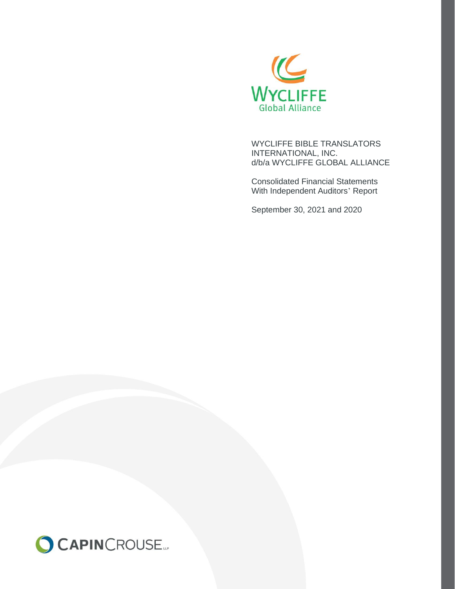

WYCLIFFE BIBLE TRANSLATORS INTERNATIONAL, INC. d/b/a WYCLIFFE GLOBAL ALLIANCE

Consolidated Financial Statements With Independent Auditors' Report

September 30, 2021 and 2020

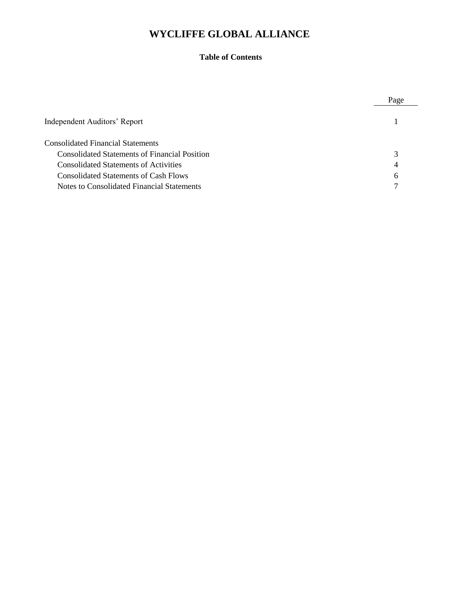### **Table of Contents**

|                                                      | Page |
|------------------------------------------------------|------|
| Independent Auditors' Report                         |      |
| <b>Consolidated Financial Statements</b>             |      |
| <b>Consolidated Statements of Financial Position</b> | 3    |
| <b>Consolidated Statements of Activities</b>         | 4    |
| <b>Consolidated Statements of Cash Flows</b>         | 6    |
| Notes to Consolidated Financial Statements           | 7    |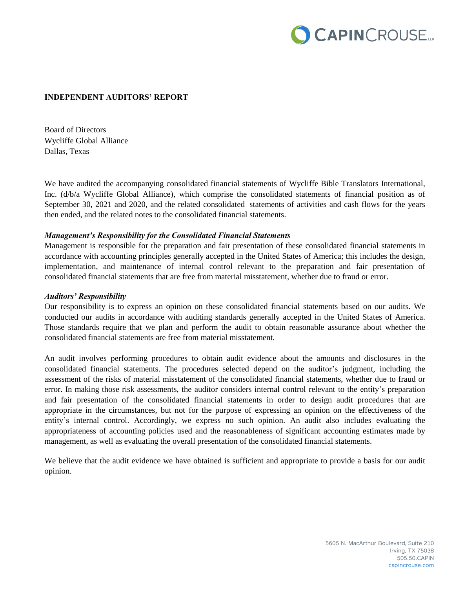

#### **INDEPENDENT AUDITORS' REPORT**

Board of Directors Wycliffe Global Alliance Dallas, Texas

We have audited the accompanying consolidated financial statements of Wycliffe Bible Translators International, Inc. (d/b/a Wycliffe Global Alliance), which comprise the consolidated statements of financial position as of September 30, 2021 and 2020, and the related consolidated statements of activities and cash flows for the years then ended, and the related notes to the consolidated financial statements.

#### *Management's Responsibility for the Consolidated Financial Statements*

Management is responsible for the preparation and fair presentation of these consolidated financial statements in accordance with accounting principles generally accepted in the United States of America; this includes the design, implementation, and maintenance of internal control relevant to the preparation and fair presentation of consolidated financial statements that are free from material misstatement, whether due to fraud or error.

#### *Auditors' Responsibility*

Our responsibility is to express an opinion on these consolidated financial statements based on our audits. We conducted our audits in accordance with auditing standards generally accepted in the United States of America. Those standards require that we plan and perform the audit to obtain reasonable assurance about whether the consolidated financial statements are free from material misstatement.

An audit involves performing procedures to obtain audit evidence about the amounts and disclosures in the consolidated financial statements. The procedures selected depend on the auditor's judgment, including the assessment of the risks of material misstatement of the consolidated financial statements, whether due to fraud or error. In making those risk assessments, the auditor considers internal control relevant to the entity's preparation and fair presentation of the consolidated financial statements in order to design audit procedures that are appropriate in the circumstances, but not for the purpose of expressing an opinion on the effectiveness of the entity's internal control. Accordingly, we express no such opinion. An audit also includes evaluating the appropriateness of accounting policies used and the reasonableness of significant accounting estimates made by management, as well as evaluating the overall presentation of the consolidated financial statements.

We believe that the audit evidence we have obtained is sufficient and appropriate to provide a basis for our audit opinion.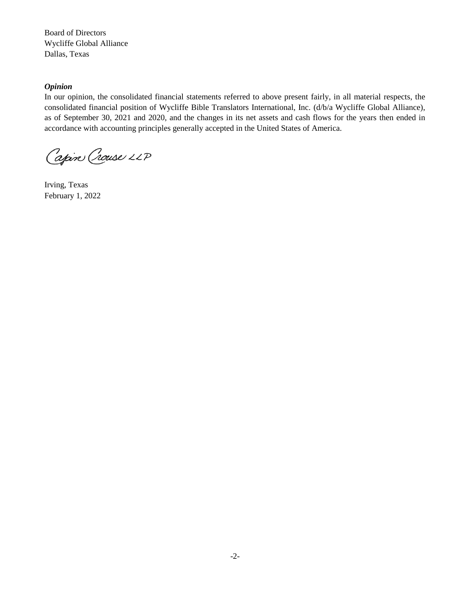Board of Directors Wycliffe Global Alliance Dallas, Texas

### *Opinion*

In our opinion, the consolidated financial statements referred to above present fairly, in all material respects, the consolidated financial position of Wycliffe Bible Translators International, Inc. (d/b/a Wycliffe Global Alliance), as of September 30, 2021 and 2020, and the changes in its net assets and cash flows for the years then ended in accordance with accounting principles generally accepted in the United States of America.

Capin Crouse LLP

Irving, Texas February 1, 2022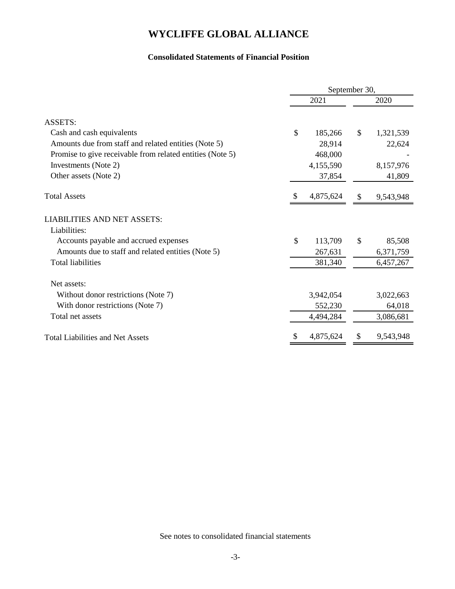## **Consolidated Statements of Financial Position**

|                                                           | September 30, |           |               |           |  |
|-----------------------------------------------------------|---------------|-----------|---------------|-----------|--|
|                                                           |               | 2021      |               | 2020      |  |
| <b>ASSETS:</b>                                            |               |           |               |           |  |
| Cash and cash equivalents                                 | \$            | 185,266   | $\mathbb{S}$  | 1,321,539 |  |
| Amounts due from staff and related entities (Note 5)      |               | 28,914    |               | 22,624    |  |
| Promise to give receivable from related entities (Note 5) |               | 468,000   |               |           |  |
| Investments (Note 2)                                      |               | 4,155,590 |               | 8,157,976 |  |
| Other assets (Note 2)                                     |               | 37,854    |               | 41,809    |  |
| <b>Total Assets</b>                                       |               | 4,875,624 | <sup>\$</sup> | 9,543,948 |  |
| <b>LIABILITIES AND NET ASSETS:</b>                        |               |           |               |           |  |
| Liabilities:                                              |               |           |               |           |  |
| Accounts payable and accrued expenses                     | \$            | 113,709   | \$            | 85,508    |  |
| Amounts due to staff and related entities (Note 5)        |               | 267,631   |               | 6,371,759 |  |
| <b>Total liabilities</b>                                  |               | 381,340   |               | 6,457,267 |  |
| Net assets:                                               |               |           |               |           |  |
| Without donor restrictions (Note 7)                       |               | 3,942,054 |               | 3,022,663 |  |
| With donor restrictions (Note 7)                          |               | 552,230   |               | 64,018    |  |
| Total net assets                                          |               | 4,494,284 |               | 3,086,681 |  |
| <b>Total Liabilities and Net Assets</b>                   |               | 4,875,624 | S             | 9,543,948 |  |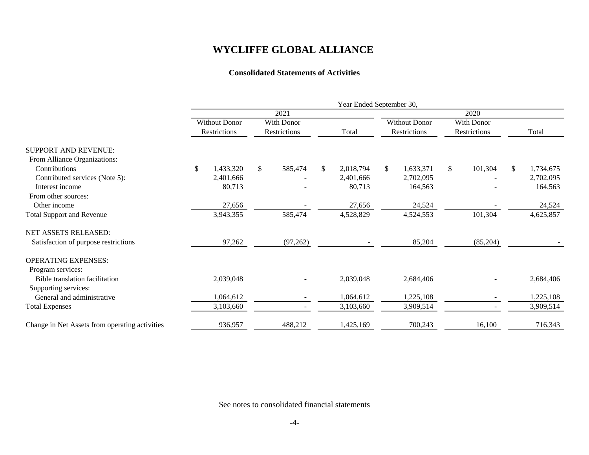## **Consolidated Statements of Activities**

|                                                | Year Ended September 30, |                      |    |              |     |           |    |               |    |              |              |           |
|------------------------------------------------|--------------------------|----------------------|----|--------------|-----|-----------|----|---------------|----|--------------|--------------|-----------|
|                                                | 2021                     |                      |    |              |     |           |    | 2020          |    |              |              |           |
|                                                |                          | <b>Without Donor</b> |    | With Donor   |     |           |    | Without Donor |    | With Donor   |              |           |
|                                                |                          | Restrictions         |    | Restrictions |     | Total     |    | Restrictions  |    | Restrictions |              | Total     |
| <b>SUPPORT AND REVENUE:</b>                    |                          |                      |    |              |     |           |    |               |    |              |              |           |
| From Alliance Organizations:                   |                          |                      |    |              |     |           |    |               |    |              |              |           |
| Contributions                                  | \$                       | 1,433,320            | \$ | 585,474      | \$. | 2,018,794 | \$ | 1,633,371     | \$ | 101,304      | $\mathbb{S}$ | 1,734,675 |
| Contributed services (Note 5):                 |                          | 2,401,666            |    |              |     | 2,401,666 |    | 2,702,095     |    |              |              | 2,702,095 |
| Interest income                                |                          | 80,713               |    |              |     | 80,713    |    | 164,563       |    |              |              | 164,563   |
| From other sources:                            |                          |                      |    |              |     |           |    |               |    |              |              |           |
| Other income                                   |                          | 27,656               |    |              |     | 27,656    |    | 24,524        |    |              |              | 24,524    |
| <b>Total Support and Revenue</b>               |                          | 3,943,355            |    | 585,474      |     | 4,528,829 |    | 4,524,553     |    | 101,304      |              | 4,625,857 |
| NET ASSETS RELEASED:                           |                          |                      |    |              |     |           |    |               |    |              |              |           |
| Satisfaction of purpose restrictions           |                          | 97,262               |    | (97, 262)    |     |           |    | 85,204        |    | (85,204)     |              |           |
| <b>OPERATING EXPENSES:</b>                     |                          |                      |    |              |     |           |    |               |    |              |              |           |
| Program services:                              |                          |                      |    |              |     |           |    |               |    |              |              |           |
| <b>Bible translation facilitation</b>          |                          | 2,039,048            |    |              |     | 2,039,048 |    | 2,684,406     |    |              |              | 2,684,406 |
| Supporting services:                           |                          |                      |    |              |     |           |    |               |    |              |              |           |
| General and administrative                     |                          | 1,064,612            |    |              |     | 1,064,612 |    | 1,225,108     |    |              |              | 1,225,108 |
| <b>Total Expenses</b>                          |                          | 3,103,660            |    |              |     | 3,103,660 |    | 3,909,514     |    |              |              | 3,909,514 |
| Change in Net Assets from operating activities |                          | 936,957              |    | 488,212      |     | 1,425,169 |    | 700,243       |    | 16,100       |              | 716,343   |
|                                                |                          |                      |    |              |     |           |    |               |    |              |              |           |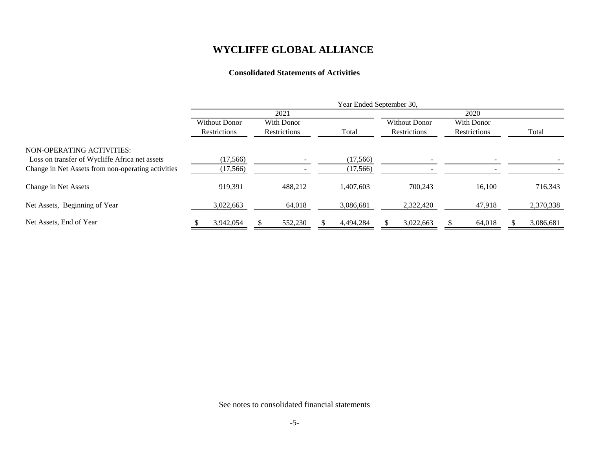## **Consolidated Statements of Activities**

|                                                                                                                                   | Year Ended September 30,             |                                   |                        |                                      |                                   |           |  |  |
|-----------------------------------------------------------------------------------------------------------------------------------|--------------------------------------|-----------------------------------|------------------------|--------------------------------------|-----------------------------------|-----------|--|--|
|                                                                                                                                   |                                      | 2021                              |                        |                                      | 2020                              |           |  |  |
|                                                                                                                                   | <b>Without Donor</b><br>Restrictions | <b>With Donor</b><br>Restrictions | Total                  | <b>Without Donor</b><br>Restrictions | <b>With Donor</b><br>Restrictions | Total     |  |  |
| NON-OPERATING ACTIVITIES:<br>Loss on transfer of Wycliffe Africa net assets<br>Change in Net Assets from non-operating activities | (17, 566)<br>(17, 566)               |                                   | (17, 566)<br>(17, 566) |                                      |                                   |           |  |  |
| Change in Net Assets                                                                                                              | 919,391                              | 488.212                           | 1,407,603              | 700,243                              | 16,100                            | 716,343   |  |  |
| Net Assets, Beginning of Year                                                                                                     | 3,022,663                            | 64,018                            | 3,086,681              | 2,322,420                            | 47,918                            | 2,370,338 |  |  |
| Net Assets, End of Year                                                                                                           | 3,942,054                            | 552,230                           | 4,494,284              | 3,022,663                            | 64,018                            | 3,086,681 |  |  |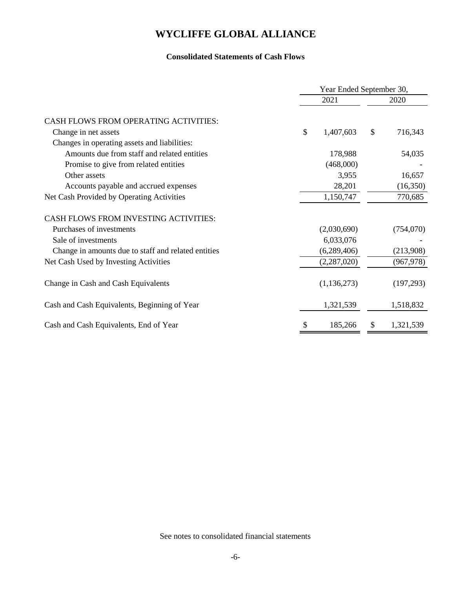### **Consolidated Statements of Cash Flows**

|                                                     | Year Ended September 30, |               |    |            |  |  |
|-----------------------------------------------------|--------------------------|---------------|----|------------|--|--|
|                                                     | 2021                     |               |    | 2020       |  |  |
| <b>CASH FLOWS FROM OPERATING ACTIVITIES:</b>        |                          |               |    |            |  |  |
| Change in net assets                                | \$                       | 1,407,603     | \$ | 716,343    |  |  |
| Changes in operating assets and liabilities:        |                          |               |    |            |  |  |
| Amounts due from staff and related entities         |                          | 178,988       |    | 54,035     |  |  |
| Promise to give from related entities               |                          | (468,000)     |    |            |  |  |
| Other assets                                        |                          | 3,955         |    | 16,657     |  |  |
| Accounts payable and accrued expenses               |                          | 28,201        |    | (16,350)   |  |  |
| Net Cash Provided by Operating Activities           |                          | 1,150,747     |    | 770,685    |  |  |
| CASH FLOWS FROM INVESTING ACTIVITIES:               |                          |               |    |            |  |  |
| Purchases of investments                            |                          | (2,030,690)   |    | (754,070)  |  |  |
| Sale of investments                                 |                          | 6,033,076     |    |            |  |  |
| Change in amounts due to staff and related entities |                          | (6, 289, 406) |    | (213,908)  |  |  |
| Net Cash Used by Investing Activities               |                          | (2, 287, 020) |    | (967, 978) |  |  |
| Change in Cash and Cash Equivalents                 |                          | (1, 136, 273) |    | (197, 293) |  |  |
| Cash and Cash Equivalents, Beginning of Year        |                          | 1,321,539     |    | 1,518,832  |  |  |
| Cash and Cash Equivalents, End of Year              | S                        | 185,266       | \$ | 1,321,539  |  |  |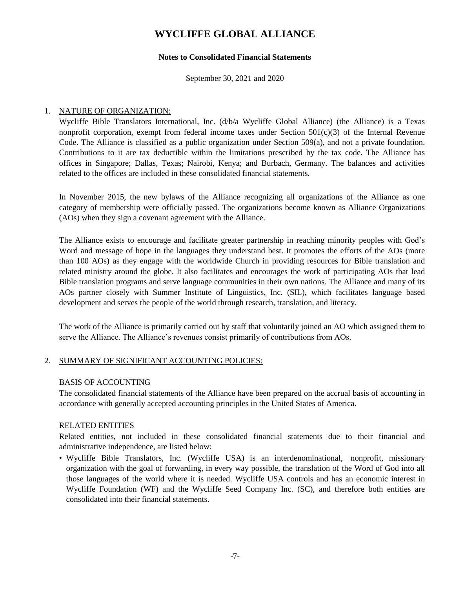### **Notes to Consolidated Financial Statements**

September 30, 2021 and 2020

### 1. NATURE OF ORGANIZATION:

Wycliffe Bible Translators International, Inc. (d/b/a Wycliffe Global Alliance) (the Alliance) is a Texas nonprofit corporation, exempt from federal income taxes under Section  $501(c)(3)$  of the Internal Revenue Code. The Alliance is classified as a public organization under Section 509(a), and not a private foundation. Contributions to it are tax deductible within the limitations prescribed by the tax code. The Alliance has offices in Singapore; Dallas, Texas; Nairobi, Kenya; and Burbach, Germany. The balances and activities related to the offices are included in these consolidated financial statements.

In November 2015, the new bylaws of the Alliance recognizing all organizations of the Alliance as one category of membership were officially passed. The organizations become known as Alliance Organizations (AOs) when they sign a covenant agreement with the Alliance.

The Alliance exists to encourage and facilitate greater partnership in reaching minority peoples with God's Word and message of hope in the languages they understand best. It promotes the efforts of the AOs (more than 100 AOs) as they engage with the worldwide Church in providing resources for Bible translation and related ministry around the globe. It also facilitates and encourages the work of participating AOs that lead Bible translation programs and serve language communities in their own nations. The Alliance and many of its AOs partner closely with Summer Institute of Linguistics, Inc. (SIL), which facilitates language based development and serves the people of the world through research, translation, and literacy.

The work of the Alliance is primarily carried out by staff that voluntarily joined an AO which assigned them to serve the Alliance. The Alliance's revenues consist primarily of contributions from AOs.

#### 2. SUMMARY OF SIGNIFICANT ACCOUNTING POLICIES:

#### BASIS OF ACCOUNTING

The consolidated financial statements of the Alliance have been prepared on the accrual basis of accounting in accordance with generally accepted accounting principles in the United States of America.

#### RELATED ENTITIES

Related entities, not included in these consolidated financial statements due to their financial and administrative independence, are listed below:

• Wycliffe Bible Translators, Inc. (Wycliffe USA) is an interdenominational, nonprofit, missionary organization with the goal of forwarding, in every way possible, the translation of the Word of God into all those languages of the world where it is needed. Wycliffe USA controls and has an economic interest in Wycliffe Foundation (WF) and the Wycliffe Seed Company Inc. (SC), and therefore both entities are consolidated into their financial statements.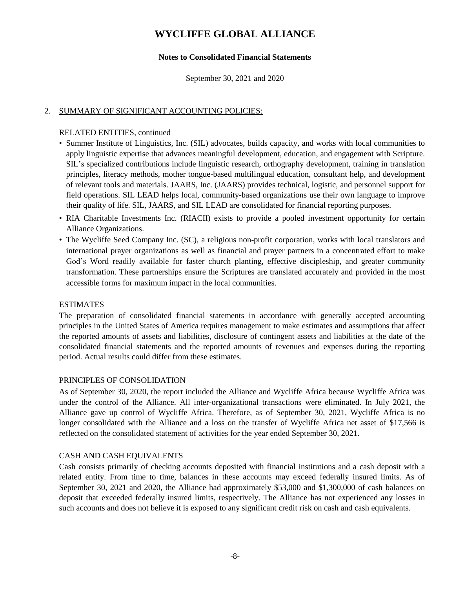### **Notes to Consolidated Financial Statements**

September 30, 2021 and 2020

### 2. SUMMARY OF SIGNIFICANT ACCOUNTING POLICIES:

### RELATED ENTITIES, continued

- Summer Institute of Linguistics, Inc. (SIL) advocates, builds capacity, and works with local communities to apply linguistic expertise that advances meaningful development, education, and engagement with Scripture. SIL's specialized contributions include linguistic research, orthography development, training in translation principles, literacy methods, mother tongue-based multilingual education, consultant help, and development of relevant tools and materials. JAARS, Inc. (JAARS) provides technical, logistic, and personnel support for field operations. SIL LEAD helps local, community-based organizations use their own language to improve their quality of life. SIL, JAARS, and SIL LEAD are consolidated for financial reporting purposes.
- RIA Charitable Investments Inc. (RIACII) exists to provide a pooled investment opportunity for certain Alliance Organizations.
- The Wycliffe Seed Company Inc. (SC), a religious non-profit corporation, works with local translators and international prayer organizations as well as financial and prayer partners in a concentrated effort to make God's Word readily available for faster church planting, effective discipleship, and greater community transformation. These partnerships ensure the Scriptures are translated accurately and provided in the most accessible forms for maximum impact in the local communities.

#### ESTIMATES

The preparation of consolidated financial statements in accordance with generally accepted accounting principles in the United States of America requires management to make estimates and assumptions that affect the reported amounts of assets and liabilities, disclosure of contingent assets and liabilities at the date of the consolidated financial statements and the reported amounts of revenues and expenses during the reporting period. Actual results could differ from these estimates.

## PRINCIPLES OF CONSOLIDATION

As of September 30, 2020, the report included the Alliance and Wycliffe Africa because Wycliffe Africa was under the control of the Alliance. All inter-organizational transactions were eliminated. In July 2021, the Alliance gave up control of Wycliffe Africa. Therefore, as of September 30, 2021, Wycliffe Africa is no longer consolidated with the Alliance and a loss on the transfer of Wycliffe Africa net asset of \$17,566 is reflected on the consolidated statement of activities for the year ended September 30, 2021.

## CASH AND CASH EQUIVALENTS

Cash consists primarily of checking accounts deposited with financial institutions and a cash deposit with a related entity. From time to time, balances in these accounts may exceed federally insured limits. As of September 30, 2021 and 2020, the Alliance had approximately \$53,000 and \$1,300,000 of cash balances on deposit that exceeded federally insured limits, respectively. The Alliance has not experienced any losses in such accounts and does not believe it is exposed to any significant credit risk on cash and cash equivalents.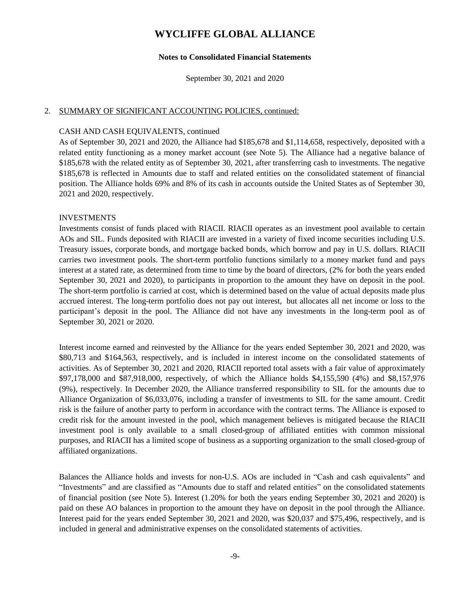#### **Notes to Consolidated Financial Statements**

September 30, 2021 and 2020

### 2. SUMMARY OF SIGNIFICANT ACCOUNTING POLICIES, continued:

### CASH AND CASH EQUIVALENTS, continued

As of September 30, 2021 and 2020, the Alliance had \$185,678 and \$1,114,658, respectively, deposited with a related entity functioning as a money market account (see Note 5). The Alliance had a negative balance of \$185,678 with the related entity as of September 30, 2021, after transferring cash to investments. The negative \$185,678 is reflected in Amounts due to staff and related entities on the consolidated statement of financial position. The Alliance holds 69% and 8% of its cash in accounts outside the United States as of September 30, 2021 and 2020, respectively.

### INVESTMENTS

Investments consist of funds placed with RIACII. RIACII operates as an investment pool available to certain AOs and SIL. Funds deposited with RIACII are invested in a variety of fixed income securities including U.S. Treasury issues, corporate bonds, and mortgage backed bonds, which borrow and pay in U.S. dollars. RIACII carries two investment pools. The short-term portfolio functions similarly to a money market fund and pays interest at a stated rate, as determined from time to time by the board of directors, (2% for both the years ended September 30, 2021 and 2020), to participants in proportion to the amount they have on deposit in the pool. The short-term portfolio is carried at cost, which is determined based on the value of actual deposits made plus accrued interest. The long-term portfolio does not pay out interest, but allocates all net income or loss to the participant's deposit in the pool. The Alliance did not have any investments in the long-term pool as of September 30, 2021 or 2020.

Interest income earned and reinvested by the Alliance for the years ended September 30, 2021 and 2020, was \$80,713 and \$164,563, respectively, and is included in interest income on the consolidated statements of activities. As of September 30, 2021 and 2020, RIACII reported total assets with a fair value of approximately \$97,178,000 and \$87,918,000, respectively, of which the Alliance holds \$4,155,590 (4%) and \$8,157,976 (9%), respectively. In December 2020, the Alliance transferred responsibility to SIL for the amounts due to Alliance Organization of \$6,033,076, including a transfer of investments to SIL for the same amount. Credit risk is the failure of another party to perform in accordance with the contract terms. The Alliance is exposed to credit risk for the amount invested in the pool, which management believes is mitigated because the RIACII investment pool is only available to a small closed-group of affiliated entities with common missional purposes, and RIACII has a limited scope of business as a supporting organization to the small closed-group of affiliated organizations.

Balances the Alliance holds and invests for non-U.S. AOs are included in "Cash and cash equivalents" and "Investments" and are classified as "Amounts due to staff and related entities" on the consolidated statements of financial position (see Note 5). Interest (1.20% for both the years ending September 30, 2021 and 2020) is paid on these AO balances in proportion to the amount they have on deposit in the pool through the Alliance. Interest paid for the years ended September 30, 2021 and 2020, was \$20,037 and \$75,496, respectively, and is included in general and administrative expenses on the consolidated statements of activities.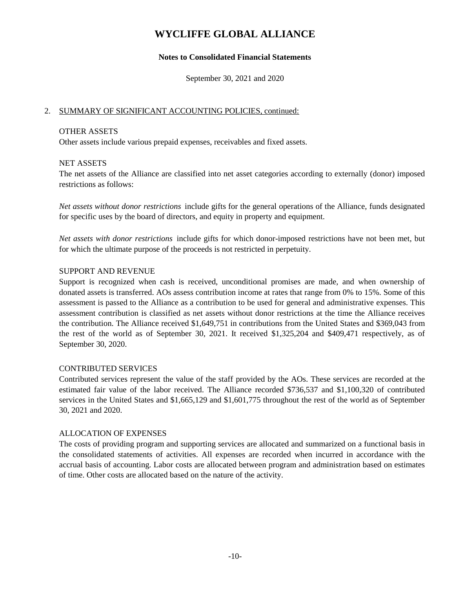### **Notes to Consolidated Financial Statements**

September 30, 2021 and 2020

### 2. SUMMARY OF SIGNIFICANT ACCOUNTING POLICIES, continued:

#### OTHER ASSETS

Other assets include various prepaid expenses, receivables and fixed assets.

### NET ASSETS

The net assets of the Alliance are classified into net asset categories according to externally (donor) imposed restrictions as follows:

*Net assets without donor restrictions* include gifts for the general operations of the Alliance, funds designated for specific uses by the board of directors, and equity in property and equipment.

*Net assets with donor restrictions* include gifts for which donor-imposed restrictions have not been met, but for which the ultimate purpose of the proceeds is not restricted in perpetuity.

### SUPPORT AND REVENUE

Support is recognized when cash is received, unconditional promises are made, and when ownership of donated assets is transferred. AOs assess contribution income at rates that range from 0% to 15%. Some of this assessment is passed to the Alliance as a contribution to be used for general and administrative expenses. This assessment contribution is classified as net assets without donor restrictions at the time the Alliance receives the contribution. The Alliance received \$1,649,751 in contributions from the United States and \$369,043 from the rest of the world as of September 30, 2021. It received \$1,325,204 and \$409,471 respectively, as of September 30, 2020.

## CONTRIBUTED SERVICES

Contributed services represent the value of the staff provided by the AOs. These services are recorded at the estimated fair value of the labor received. The Alliance recorded \$736,537 and \$1,100,320 of contributed services in the United States and \$1,665,129 and \$1,601,775 throughout the rest of the world as of September 30, 2021 and 2020.

#### ALLOCATION OF EXPENSES

The costs of providing program and supporting services are allocated and summarized on a functional basis in the consolidated statements of activities. All expenses are recorded when incurred in accordance with the accrual basis of accounting. Labor costs are allocated between program and administration based on estimates of time. Other costs are allocated based on the nature of the activity.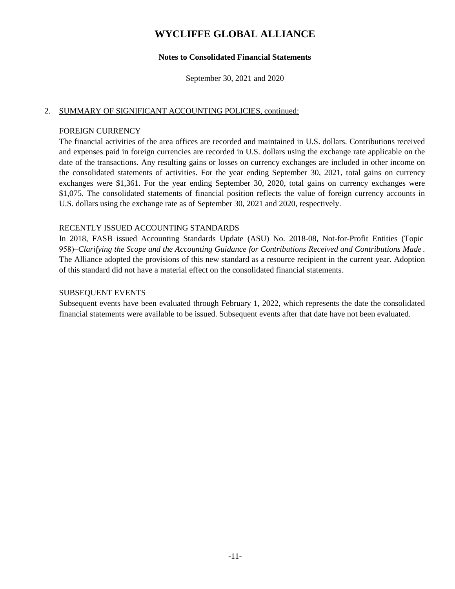### **Notes to Consolidated Financial Statements**

September 30, 2021 and 2020

### 2. SUMMARY OF SIGNIFICANT ACCOUNTING POLICIES, continued:

### FOREIGN CURRENCY

The financial activities of the area offices are recorded and maintained in U.S. dollars. Contributions received and expenses paid in foreign currencies are recorded in U.S. dollars using the exchange rate applicable on the date of the transactions. Any resulting gains or losses on currency exchanges are included in other income on the consolidated statements of activities. For the year ending September 30, 2021, total gains on currency exchanges were \$1,361. For the year ending September 30, 2020, total gains on currency exchanges were \$1,075. The consolidated statements of financial position reflects the value of foreign currency accounts in U.S. dollars using the exchange rate as of September 30, 2021 and 2020, respectively.

### RECENTLY ISSUED ACCOUNTING STANDARDS

In 2018, FASB issued Accounting Standards Update (ASU) No. 2018-08, Not-for-Profit Entities (Topic 958)–*Clarifying the Scope and the Accounting Guidance for Contributions Received and Contributions Made* . The Alliance adopted the provisions of this new standard as a resource recipient in the current year. Adoption of this standard did not have a material effect on the consolidated financial statements.

#### SUBSEQUENT EVENTS

Subsequent events have been evaluated through February 1, 2022, which represents the date the consolidated financial statements were available to be issued. Subsequent events after that date have not been evaluated.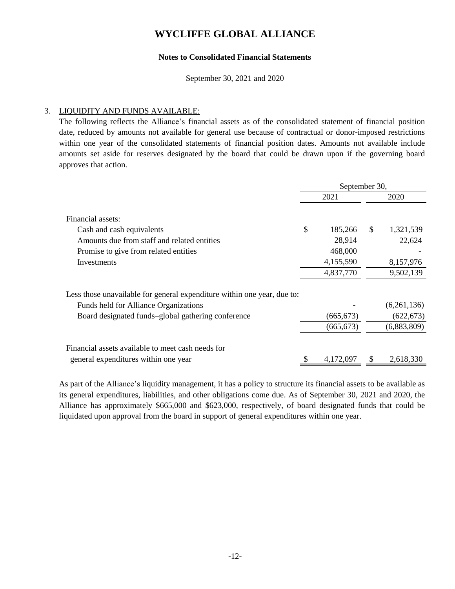#### **Notes to Consolidated Financial Statements**

September 30, 2021 and 2020

### 3. LIQUIDITY AND FUNDS AVAILABLE:

The following reflects the Alliance's financial assets as of the consolidated statement of financial position date, reduced by amounts not available for general use because of contractual or donor-imposed restrictions within one year of the consolidated statements of financial position dates. Amounts not available include amounts set aside for reserves designated by the board that could be drawn upon if the governing board approves that action.

|                                                                         | September 30, |            |               |             |  |
|-------------------------------------------------------------------------|---------------|------------|---------------|-------------|--|
|                                                                         | 2021          |            |               | 2020        |  |
| Financial assets:                                                       |               |            |               |             |  |
| Cash and cash equivalents                                               | \$            | 185,266    | <sup>\$</sup> | 1,321,539   |  |
| Amounts due from staff and related entities                             |               | 28,914     |               | 22,624      |  |
| Promise to give from related entities                                   |               | 468,000    |               |             |  |
| Investments                                                             |               | 4,155,590  |               | 8,157,976   |  |
|                                                                         |               | 4,837,770  |               | 9,502,139   |  |
| Less those unavailable for general expenditure within one year, due to: |               |            |               |             |  |
| Funds held for Alliance Organizations                                   |               |            |               | (6,261,136) |  |
| Board designated funds-global gathering conference                      |               | (665, 673) |               | (622, 673)  |  |
|                                                                         |               | (665, 673) |               | (6,883,809) |  |
| Financial assets available to meet cash needs for                       |               |            |               |             |  |
| general expenditures within one year                                    |               | 4,172,097  | -S            | 2,618,330   |  |
|                                                                         |               |            |               |             |  |

As part of the Alliance's liquidity management, it has a policy to structure its financial assets to be available as its general expenditures, liabilities, and other obligations come due. As of September 30, 2021 and 2020, the Alliance has approximately \$665,000 and \$623,000, respectively, of board designated funds that could be liquidated upon approval from the board in support of general expenditures within one year.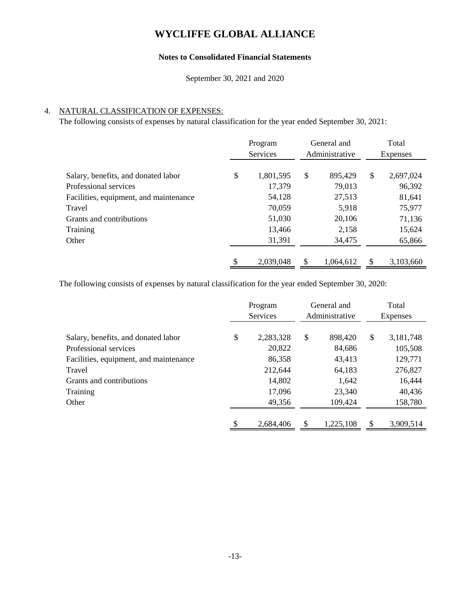## **Notes to Consolidated Financial Statements**

September 30, 2021 and 2020

## 4. NATURAL CLASSIFICATION OF EXPENSES:

The following consists of expenses by natural classification for the year ended September 30, 2021:

|                                        | Program<br>Services |           | General and<br>Administrative |           | Total<br><b>Expenses</b> |           |
|----------------------------------------|---------------------|-----------|-------------------------------|-----------|--------------------------|-----------|
| Salary, benefits, and donated labor    | \$                  | 1,801,595 | \$                            | 895,429   | $\mathbb{S}$             | 2,697,024 |
| Professional services                  |                     | 17,379    |                               | 79,013    |                          | 96,392    |
| Facilities, equipment, and maintenance |                     | 54,128    |                               | 27,513    |                          | 81,641    |
| Travel                                 |                     | 70,059    |                               | 5,918     |                          | 75,977    |
| Grants and contributions               |                     | 51,030    |                               | 20,106    |                          | 71,136    |
| Training                               |                     | 13,466    |                               | 2,158     |                          | 15,624    |
| Other                                  |                     | 31,391    |                               | 34,475    |                          | 65,866    |
|                                        |                     |           |                               |           |                          |           |
|                                        | \$                  | 2,039,048 | \$                            | 1,064,612 |                          | 3,103,660 |

The following consists of expenses by natural classification for the year ended September 30, 2020:

|                                        | Program<br>Services |           | General and<br>Administrative |           | Total<br><b>Expenses</b> |           |
|----------------------------------------|---------------------|-----------|-------------------------------|-----------|--------------------------|-----------|
|                                        |                     |           |                               |           |                          |           |
| Salary, benefits, and donated labor    | \$                  | 2,283,328 | \$                            | 898,420   | \$                       | 3,181,748 |
| Professional services                  |                     | 20,822    |                               | 84,686    |                          | 105,508   |
| Facilities, equipment, and maintenance |                     | 86,358    |                               | 43,413    |                          | 129,771   |
| Travel                                 |                     | 212,644   |                               | 64,183    |                          | 276,827   |
| Grants and contributions               |                     | 14,802    |                               | 1,642     |                          | 16,444    |
| Training                               |                     | 17,096    |                               | 23,340    |                          | 40,436    |
| Other                                  |                     | 49,356    |                               | 109,424   |                          | 158,780   |
|                                        |                     |           |                               |           |                          |           |
|                                        |                     | 2,684,406 | S                             | 1,225,108 |                          | 3,909,514 |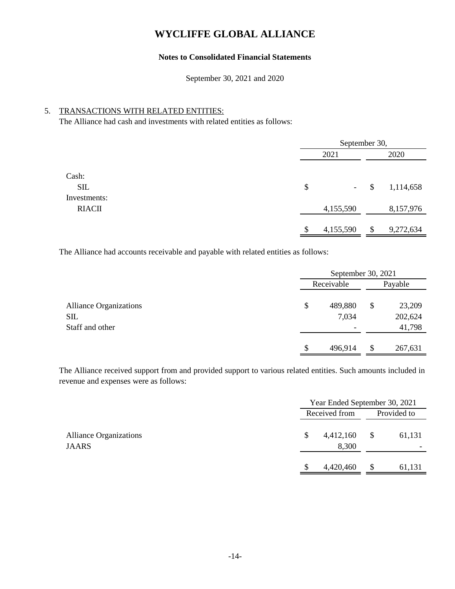## **Notes to Consolidated Financial Statements**

September 30, 2021 and 2020

## 5. TRANSACTIONS WITH RELATED ENTITIES:

The Alliance had cash and investments with related entities as follows:

|               | September 30,   |                           |           |  |  |
|---------------|-----------------|---------------------------|-----------|--|--|
|               | 2021            | 2020                      |           |  |  |
| Cash:         |                 |                           |           |  |  |
| <b>SIL</b>    | \$<br>$\sim$    | \$                        | 1,114,658 |  |  |
| Investments:  |                 |                           |           |  |  |
| <b>RIACII</b> | 4,155,590       |                           | 8,157,976 |  |  |
|               |                 |                           |           |  |  |
|               | \$<br>4,155,590 | $\boldsymbol{\mathsf{S}}$ | 9,272,634 |  |  |

The Alliance had accounts receivable and payable with related entities as follows:

|                               |            | September 30, 2021 |    |         |  |  |
|-------------------------------|------------|--------------------|----|---------|--|--|
|                               | Receivable |                    |    | Payable |  |  |
| <b>Alliance Organizations</b> | \$         | 489,880            | \$ | 23,209  |  |  |
| SIL                           |            | 7,034              |    | 202,624 |  |  |
| Staff and other               |            |                    |    | 41,798  |  |  |
|                               | \$         | 496,914            | \$ | 267,631 |  |  |

The Alliance received support from and provided support to various related entities. Such amounts included in revenue and expenses were as follows:

|                                               |    | Year Ended September 30, 2021 |             |        |  |
|-----------------------------------------------|----|-------------------------------|-------------|--------|--|
|                                               |    | Received from                 | Provided to |        |  |
| <b>Alliance Organizations</b><br><b>JAARS</b> | S. | 4,412,160<br>8,300            |             | 61,131 |  |
|                                               | \$ | 4,420,460                     |             | 61,131 |  |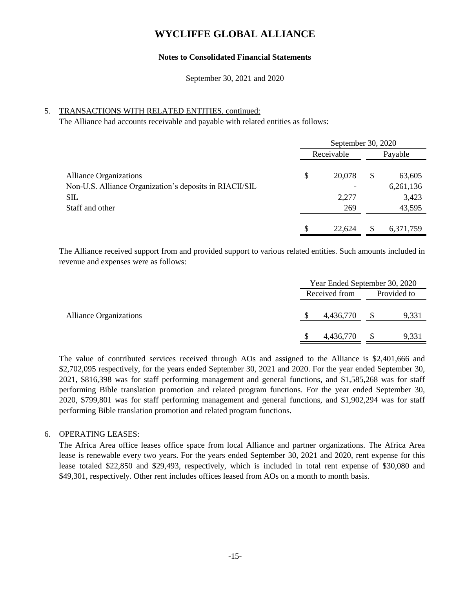### **Notes to Consolidated Financial Statements**

September 30, 2021 and 2020

#### 5. TRANSACTIONS WITH RELATED ENTITIES, continued:

The Alliance had accounts receivable and payable with related entities as follows:

|                                                         | September 30, 2020 |            |    |           |  |
|---------------------------------------------------------|--------------------|------------|----|-----------|--|
|                                                         |                    | Receivable |    |           |  |
| <b>Alliance Organizations</b>                           | \$                 | 20,078     | \$ | 63,605    |  |
| Non-U.S. Alliance Organization's deposits in RIACII/SIL |                    |            |    | 6,261,136 |  |
| <b>SIL</b>                                              |                    | 2,277      |    | 3,423     |  |
| Staff and other                                         |                    | 269        |    | 43,595    |  |
|                                                         |                    |            |    |           |  |
|                                                         | \$                 | 22,624     |    | 6,371,759 |  |

The Alliance received support from and provided support to various related entities. Such amounts included in revenue and expenses were as follows:

| Year Ended September 30, 2020 |  |             |  |
|-------------------------------|--|-------------|--|
| Received from                 |  | Provided to |  |
| 4,436,770                     |  | 9,331       |  |
| 4,436,770                     |  | 9,331       |  |
|                               |  |             |  |

The value of contributed services received through AOs and assigned to the Alliance is \$2,401,666 and \$2,702,095 respectively, for the years ended September 30, 2021 and 2020. For the year ended September 30, 2021, \$816,398 was for staff performing management and general functions, and \$1,585,268 was for staff performing Bible translation promotion and related program functions. For the year ended September 30, 2020, \$799,801 was for staff performing management and general functions, and \$1,902,294 was for staff performing Bible translation promotion and related program functions.

## 6. OPERATING LEASES:

The Africa Area office leases office space from local Alliance and partner organizations. The Africa Area lease is renewable every two years. For the years ended September 30, 2021 and 2020, rent expense for this lease totaled \$22,850 and \$29,493, respectively, which is included in total rent expense of \$30,080 and \$49,301, respectively. Other rent includes offices leased from AOs on a month to month basis.